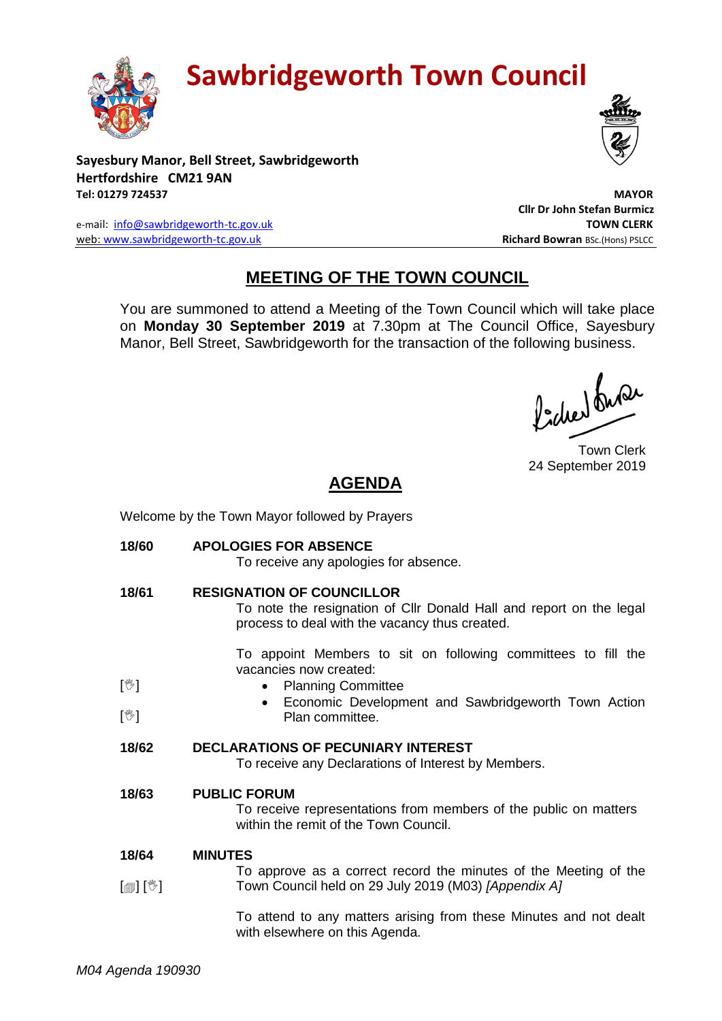

# **Sawbridgeworth Town Council**

**Sayesbury Manor, Bell Street, Sawbridgeworth Hertfordshire CM21 9AN Tel: 01279 724537 MAYOR**

e-mail: [info@sawbridgeworth-tc.gov.uk](mailto:info@sawbridgeworth-tc.gov.uk) **TOWN CLERK** web: www.sawbridgeworth-tc.gov.uk **Richard Bowran** BSc.(Hons) PSLCC

## **MEETING OF THE TOWN COUNCIL**

You are summoned to attend a Meeting of the Town Council which will take place on **Monday 30 September 2019** at 7.30pm at The Council Office, Sayesbury Manor, Bell Street, Sawbridgeworth for the transaction of the following business.

Procher buse

 **Cllr Dr John Stefan Burmicz**

Town Clerk 24 September 2019

## **AGENDA**

Welcome by the Town Mayor followed by Prayers

**18/60 APOLOGIES FOR ABSENCE**

|                            | To receive any apologies for absence.                                                                                                                     |
|----------------------------|-----------------------------------------------------------------------------------------------------------------------------------------------------------|
| 18/61                      | <b>RESIGNATION OF COUNCILLOR</b><br>To note the resignation of Cllr Donald Hall and report on the legal<br>process to deal with the vacancy thus created. |
| $[\mathbb{V}]$             | To appoint Members to sit on following committees to fill the<br>vacancies now created:<br><b>Planning Committee</b>                                      |
| $[\mathbb{V}]$             | Economic Development and Sawbridgeworth Town Action<br>Plan committee.                                                                                    |
| 18/62                      | <b>DECLARATIONS OF PECUNIARY INTEREST</b><br>To receive any Declarations of Interest by Members.                                                          |
| 18/63                      | <b>PUBLIC FORUM</b><br>To receive representations from members of the public on matters<br>within the remit of the Town Council.                          |
| 18/64                      | <b>MINUTES</b>                                                                                                                                            |
| $\mathbb{D}[\mathbb{D}^1]$ | To approve as a correct record the minutes of the Meeting of the<br>Town Council held on 29 July 2019 (M03) [Appendix A]                                  |
|                            | To attend to any matters arising from these Minutes and not dealt<br>with elsewhere on this Agenda.                                                       |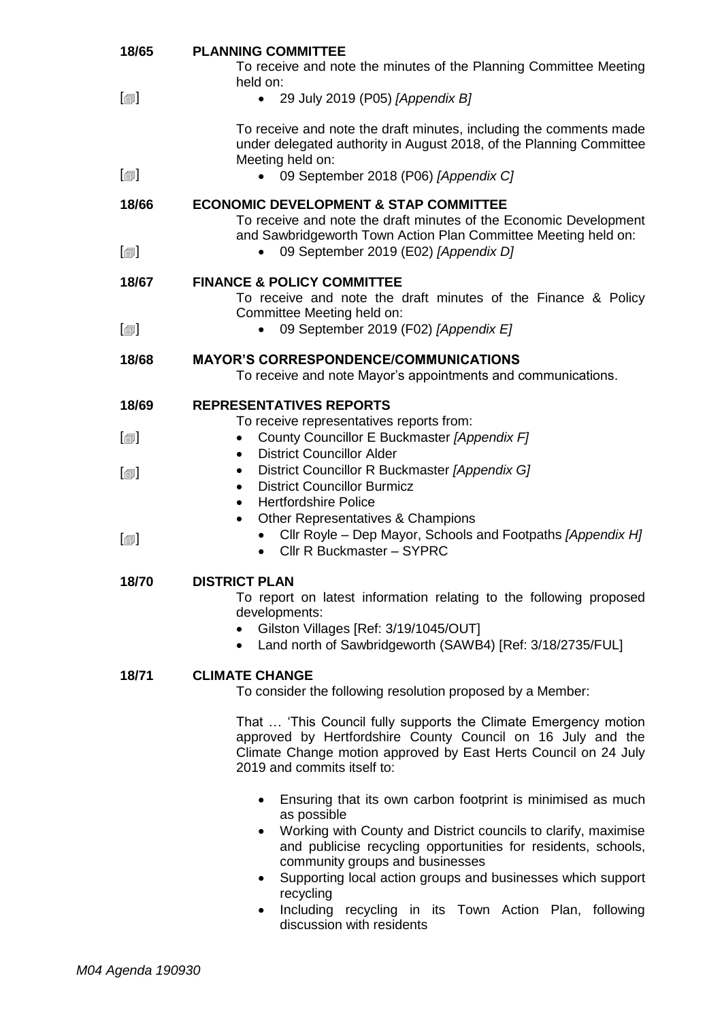| 18/65                        | <b>PLANNING COMMITTEE</b><br>To receive and note the minutes of the Planning Committee Meeting                                                                                                                                   |
|------------------------------|----------------------------------------------------------------------------------------------------------------------------------------------------------------------------------------------------------------------------------|
| $[\blacksquare]$             | held on:<br>29 July 2019 (P05) [Appendix B]<br>$\bullet$                                                                                                                                                                         |
|                              | To receive and note the draft minutes, including the comments made<br>under delegated authority in August 2018, of the Planning Committee<br>Meeting held on:                                                                    |
| $\lbrack \oplus \rbrack$     | 09 September 2018 (P06) [Appendix C]                                                                                                                                                                                             |
| 18/66                        | <b>ECONOMIC DEVELOPMENT &amp; STAP COMMITTEE</b><br>To receive and note the draft minutes of the Economic Development<br>and Sawbridgeworth Town Action Plan Committee Meeting held on:                                          |
| $\lceil \circledcirc \rceil$ | 09 September 2019 (E02) [Appendix D]                                                                                                                                                                                             |
| 18/67                        | <b>FINANCE &amp; POLICY COMMITTEE</b><br>To receive and note the draft minutes of the Finance & Policy<br>Committee Meeting held on:                                                                                             |
| $\lbrack \oplus \rbrack$     | 09 September 2019 (F02) [Appendix E]<br>$\bullet$                                                                                                                                                                                |
| 18/68                        | <b>MAYOR'S CORRESPONDENCE/COMMUNICATIONS</b><br>To receive and note Mayor's appointments and communications.                                                                                                                     |
| 18/69                        | <b>REPRESENTATIVES REPORTS</b>                                                                                                                                                                                                   |
| $\lbrack \oplus \rbrack$     | To receive representatives reports from:<br>County Councillor E Buckmaster [Appendix F]<br><b>District Councillor Alder</b><br>$\bullet$                                                                                         |
| $\lbrack \oplus \rbrack$     | District Councillor R Buckmaster [Appendix G]<br>٠<br><b>District Councillor Burmicz</b><br>$\bullet$<br><b>Hertfordshire Police</b><br>$\bullet$<br>Other Representatives & Champions<br>$\bullet$                              |
| $[\blacksquare]$             | Cllr Royle – Dep Mayor, Schools and Footpaths [Appendix H]<br>Cllr R Buckmaster - SYPRC<br>$\bullet$                                                                                                                             |
| 18/70                        | <b>DISTRICT PLAN</b><br>To report on latest information relating to the following proposed<br>developments:<br>Gilston Villages [Ref: 3/19/1045/OUT]<br>• Land north of Sawbridgeworth (SAWB4) [Ref: 3/18/2735/FUL]              |
| 18/71                        | <b>CLIMATE CHANGE</b><br>To consider the following resolution proposed by a Member:                                                                                                                                              |
|                              | That  'This Council fully supports the Climate Emergency motion<br>approved by Hertfordshire County Council on 16 July and the<br>Climate Change motion approved by East Herts Council on 24 July<br>2019 and commits itself to: |
|                              | Ensuring that its own carbon footprint is minimised as much<br>$\bullet$<br>as possible                                                                                                                                          |
|                              | Working with County and District councils to clarify, maximise<br>$\bullet$<br>and publicise recycling opportunities for residents, schools,<br>community groups and businesses                                                  |
|                              | Supporting local action groups and businesses which support<br>$\bullet$<br>recycling                                                                                                                                            |
|                              | Including recycling in its Town Action Plan, following<br>٠                                                                                                                                                                      |